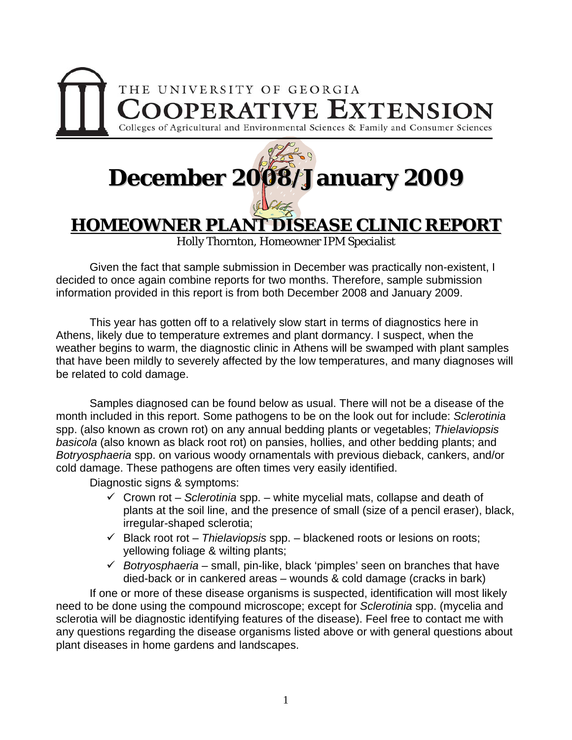

## **December 2008/January 2009**

**HOMEOWNER PLANT DISEASE CLINIC REPORT** 

Holly Thornton, Homeowner IPM Specialist

 Given the fact that sample submission in December was practically non-existent, I decided to once again combine reports for two months. Therefore, sample submission information provided in this report is from both December 2008 and January 2009.

 This year has gotten off to a relatively slow start in terms of diagnostics here in Athens, likely due to temperature extremes and plant dormancy. I suspect, when the weather begins to warm, the diagnostic clinic in Athens will be swamped with plant samples that have been mildly to severely affected by the low temperatures, and many diagnoses will be related to cold damage.

 Samples diagnosed can be found below as usual. There will not be a disease of the month included in this report. Some pathogens to be on the look out for include: *Sclerotinia*  spp. (also known as crown rot) on any annual bedding plants or vegetables; *Thielaviopsis basicola* (also known as black root rot) on pansies, hollies, and other bedding plants; and *Botryosphaeria* spp. on various woody ornamentals with previous dieback, cankers, and/or cold damage. These pathogens are often times very easily identified.

Diagnostic signs & symptoms:

- $\checkmark$  Crown rot *Sclerotinia* spp. white mycelial mats, collapse and death of plants at the soil line, and the presence of small (size of a pencil eraser), black, irregular-shaped sclerotia;
- 9 Black root rot *Thielaviopsis* spp. blackened roots or lesions on roots; yellowing foliage & wilting plants;
- 9 *Botryosphaeria*  small, pin-like, black 'pimples' seen on branches that have died-back or in cankered areas – wounds & cold damage (cracks in bark)

If one or more of these disease organisms is suspected, identification will most likely need to be done using the compound microscope; except for *Sclerotinia* spp. (mycelia and sclerotia will be diagnostic identifying features of the disease). Feel free to contact me with any questions regarding the disease organisms listed above or with general questions about plant diseases in home gardens and landscapes.